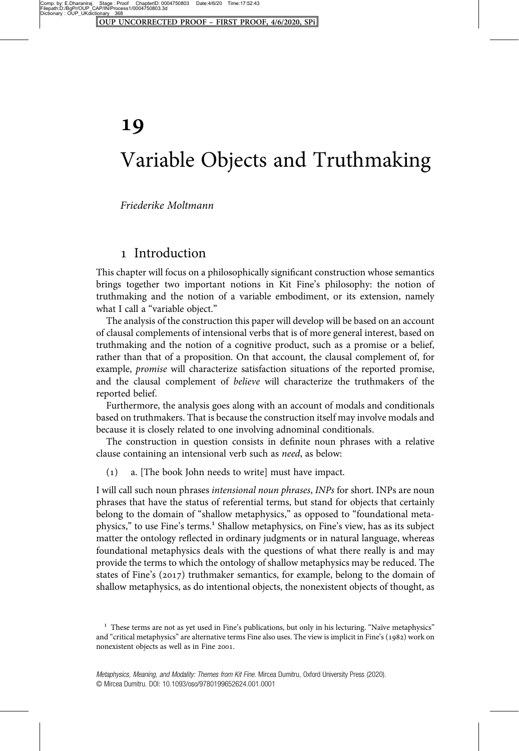Comp. by: E.Dharaniraj Stage : Proof ChapterID: 0004750803 Date:4/6/20 Time:17:52:43 Filepath:D:/BgPr/OUP\_CAP/IN/Process1/0004750803.3d nopathiba.bythoof Toxit his

**OUP UNCORRECTED PROOF – FIRST PROOF, 4/6/2020, SPi**

# 19 Variable Objects and Truthmaking

Friederike Moltmann

# 1 Introduction

This chapter will focus on a philosophically significant construction whose semantics brings together two important notions in Kit Fine's philosophy: the notion of truthmaking and the notion of a variable embodiment, or its extension, namely what I call a "variable object."

The analysis of the construction this paper will develop will be based on an account of clausal complements of intensional verbs that is of more general interest, based on truthmaking and the notion of a cognitive product, such as a promise or a belief, rather than that of a proposition. On that account, the clausal complement of, for example, promise will characterize satisfaction situations of the reported promise, and the clausal complement of believe will characterize the truthmakers of the reported belief.

Furthermore, the analysis goes along with an account of modals and conditionals based on truthmakers. That is because the construction itself may involve modals and because it is closely related to one involving adnominal conditionals.

The construction in question consists in definite noun phrases with a relative clause containing an intensional verb such as need, as below:

() a. [The book John needs to write] must have impact.

I will call such noun phrases intensional noun phrases, INPs for short. INPs are noun phrases that have the status of referential terms, but stand for objects that certainly belong to the domain of "shallow metaphysics," as opposed to "foundational metaphysics," to use Fine's terms.<sup>1</sup> Shallow metaphysics, on Fine's view, has as its subject matter the ontology reflected in ordinary judgments or in natural language, whereas foundational metaphysics deals with the questions of what there really is and may provide the terms to which the ontology of shallow metaphysics may be reduced. The states of Fine's (2017) truthmaker semantics, for example, belong to the domain of shallow metaphysics, as do intentional objects, the nonexistent objects of thought, as

<sup>&</sup>lt;sup>1</sup> These terms are not as yet used in Fine's publications, but only in his lecturing. "Naïve metaphysics" and "critical metaphysics" are alternative terms Fine also uses. The view is implicit in Fine's (1982) work on nonexistent objects as well as in Fine 2001.

Metaphysics, Meaning, and Modality: Themes from Kit Fine. Mircea Dumitru, Oxford University Press (2020). © Mircea Dumitru. DOI: 10.1093/oso/9780199652624.001.0001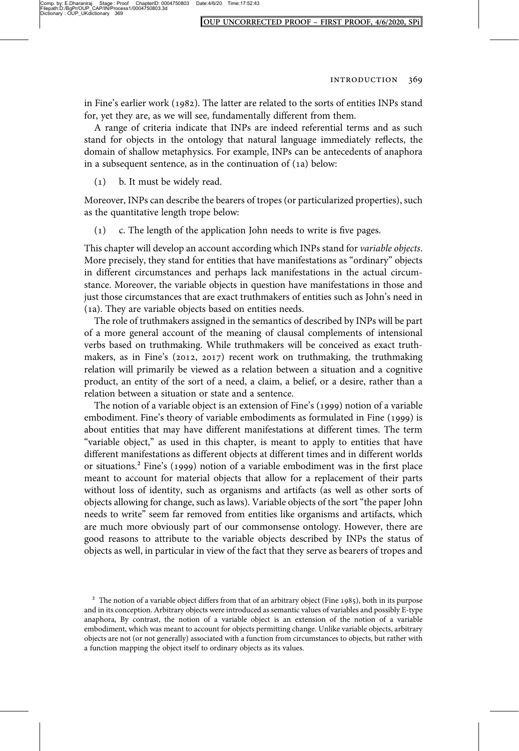### **OUP UNCORRECTED PROOF – FIRST PROOF, 4/6/2020, SPi**

INTRODUCTION 369

in Fine's earlier work  $(1982)$ . The latter are related to the sorts of entities INPs stand for, yet they are, as we will see, fundamentally different from them.

A range of criteria indicate that INPs are indeed referential terms and as such stand for objects in the ontology that natural language immediately reflects, the domain of shallow metaphysics. For example, INPs can be antecedents of anaphora in a subsequent sentence, as in the continuation of  $(1a)$  below:

() b. It must be widely read.

Moreover, INPs can describe the bearers of tropes (or particularized properties), such as the quantitative length trope below:

() c. The length of the application John needs to write is five pages.

This chapter will develop an account according which INPs stand for variable objects. More precisely, they stand for entities that have manifestations as "ordinary" objects in different circumstances and perhaps lack manifestations in the actual circumstance. Moreover, the variable objects in question have manifestations in those and just those circumstances that are exact truthmakers of entities such as John's need in (a). They are variable objects based on entities needs.

The role of truthmakers assigned in the semantics of described by INPs will be part of a more general account of the meaning of clausal complements of intensional verbs based on truthmaking. While truthmakers will be conceived as exact truthmakers, as in Fine's (2012, 2017) recent work on truthmaking, the truthmaking relation will primarily be viewed as a relation between a situation and a cognitive product, an entity of the sort of a need, a claim, a belief, or a desire, rather than a relation between a situation or state and a sentence.

The notion of a variable object is an extension of Fine's (1999) notion of a variable embodiment. Fine's theory of variable embodiments as formulated in Fine (1999) is about entities that may have different manifestations at different times. The term "variable object," as used in this chapter, is meant to apply to entities that have different manifestations as different objects at different times and in different worlds or situations.<sup>2</sup> Fine's (1999) notion of a variable embodiment was in the first place meant to account for material objects that allow for a replacement of their parts without loss of identity, such as organisms and artifacts (as well as other sorts of objects allowing for change, such as laws). Variable objects of the sort "the paper John needs to write" seem far removed from entities like organisms and artifacts, which are much more obviously part of our commonsense ontology. However, there are good reasons to attribute to the variable objects described by INPs the status of objects as well, in particular in view of the fact that they serve as bearers of tropes and

<sup>&</sup>lt;sup>2</sup> The notion of a variable object differs from that of an arbitrary object (Fine 1985), both in its purpose and in its conception. Arbitrary objects were introduced as semantic values of variables and possibly E-type anaphora, By contrast, the notion of a variable object is an extension of the notion of a variable embodiment, which was meant to account for objects permitting change. Unlike variable objects, arbitrary objects are not (or not generally) associated with a function from circumstances to objects, but rather with a function mapping the object itself to ordinary objects as its values.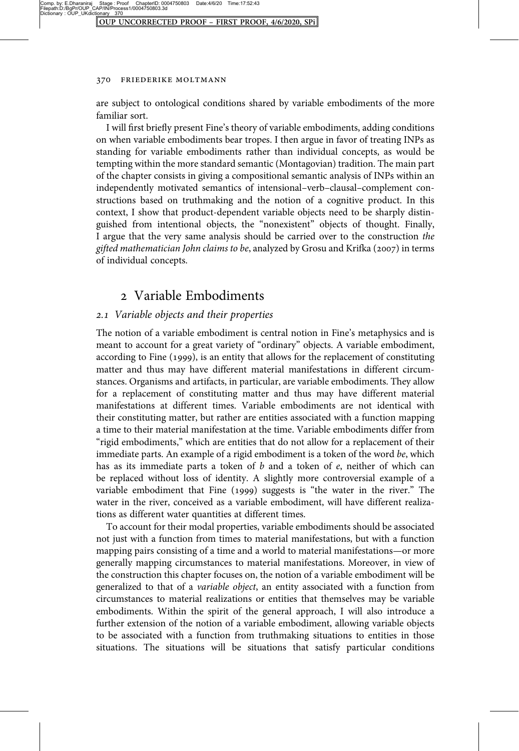are subject to ontological conditions shared by variable embodiments of the more familiar sort.

I will first briefly present Fine's theory of variable embodiments, adding conditions on when variable embodiments bear tropes. I then argue in favor of treating INPs as standing for variable embodiments rather than individual concepts, as would be tempting within the more standard semantic (Montagovian) tradition. The main part of the chapter consists in giving a compositional semantic analysis of INPs within an independently motivated semantics of intensional–verb–clausal–complement constructions based on truthmaking and the notion of a cognitive product. In this context, I show that product-dependent variable objects need to be sharply distinguished from intentional objects, the "nonexistent" objects of thought. Finally, I argue that the very same analysis should be carried over to the construction the gifted mathematician John claims to be, analyzed by Grosu and Krifka (2007) in terms of individual concepts.

# Variable Embodiments

### 2.1 Variable objects and their properties

The notion of a variable embodiment is central notion in Fine's metaphysics and is meant to account for a great variety of "ordinary" objects. A variable embodiment, according to Fine (1999), is an entity that allows for the replacement of constituting matter and thus may have different material manifestations in different circumstances. Organisms and artifacts, in particular, are variable embodiments. They allow for a replacement of constituting matter and thus may have different material manifestations at different times. Variable embodiments are not identical with their constituting matter, but rather are entities associated with a function mapping a time to their material manifestation at the time. Variable embodiments differ from "rigid embodiments," which are entities that do not allow for a replacement of their immediate parts. An example of a rigid embodiment is a token of the word be, which has as its immediate parts a token of  $b$  and a token of  $e$ , neither of which can be replaced without loss of identity. A slightly more controversial example of a variable embodiment that Fine (1999) suggests is "the water in the river." The water in the river, conceived as a variable embodiment, will have different realizations as different water quantities at different times.

To account for their modal properties, variable embodiments should be associated not just with a function from times to material manifestations, but with a function mapping pairs consisting of a time and a world to material manifestations—or more generally mapping circumstances to material manifestations. Moreover, in view of the construction this chapter focuses on, the notion of a variable embodiment will be generalized to that of a variable object, an entity associated with a function from circumstances to material realizations or entities that themselves may be variable embodiments. Within the spirit of the general approach, I will also introduce a further extension of the notion of a variable embodiment, allowing variable objects to be associated with a function from truthmaking situations to entities in those situations. The situations will be situations that satisfy particular conditions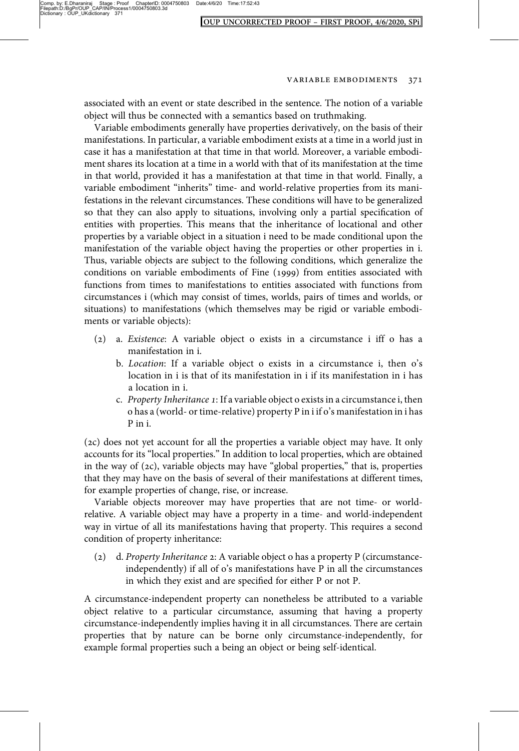### **OUP UNCORRECTED PROOF – FIRST PROOF, 4/6/2020, SPi**

### VARIABLE EMBODIMENTS 371

associated with an event or state described in the sentence. The notion of a variable object will thus be connected with a semantics based on truthmaking.

Variable embodiments generally have properties derivatively, on the basis of their manifestations. In particular, a variable embodiment exists at a time in a world just in case it has a manifestation at that time in that world. Moreover, a variable embodiment shares its location at a time in a world with that of its manifestation at the time in that world, provided it has a manifestation at that time in that world. Finally, a variable embodiment "inherits" time- and world-relative properties from its manifestations in the relevant circumstances. These conditions will have to be generalized so that they can also apply to situations, involving only a partial specification of entities with properties. This means that the inheritance of locational and other properties by a variable object in a situation i need to be made conditional upon the manifestation of the variable object having the properties or other properties in i. Thus, variable objects are subject to the following conditions, which generalize the conditions on variable embodiments of Fine  $(1999)$  from entities associated with functions from times to manifestations to entities associated with functions from circumstances i (which may consist of times, worlds, pairs of times and worlds, or situations) to manifestations (which themselves may be rigid or variable embodiments or variable objects):

- () a. Existence: A variable object o exists in a circumstance i iff o has a manifestation in i.
	- b. Location: If a variable object o exists in a circumstance i, then o's location in i is that of its manifestation in i if its manifestation in i has a location in i.
	- c. Property Inheritance 1: If a variable object o exists in a circumstance i, then o has a (world- or time-relative) property P in i if o's manifestation in i has P in i.

 $(2c)$  does not yet account for all the properties a variable object may have. It only accounts for its "local properties." In addition to local properties, which are obtained in the way of  $(2c)$ , variable objects may have "global properties," that is, properties that they may have on the basis of several of their manifestations at different times, for example properties of change, rise, or increase.

Variable objects moreover may have properties that are not time- or worldrelative. A variable object may have a property in a time- and world-independent way in virtue of all its manifestations having that property. This requires a second condition of property inheritance:

(2) d. Property Inheritance 2: A variable object o has a property P (circumstanceindependently) if all of o's manifestations have P in all the circumstances in which they exist and are specified for either P or not P.

A circumstance-independent property can nonetheless be attributed to a variable object relative to a particular circumstance, assuming that having a property circumstance-independently implies having it in all circumstances. There are certain properties that by nature can be borne only circumstance-independently, for example formal properties such a being an object or being self-identical.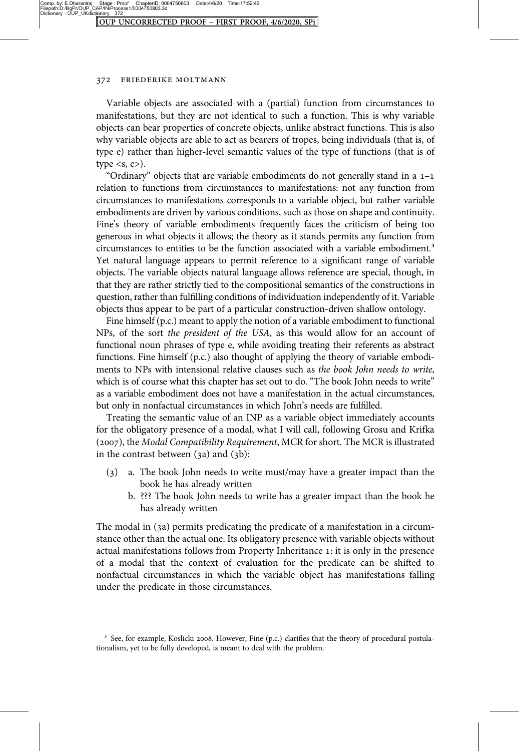Variable objects are associated with a (partial) function from circumstances to manifestations, but they are not identical to such a function. This is why variable objects can bear properties of concrete objects, unlike abstract functions. This is also why variable objects are able to act as bearers of tropes, being individuals (that is, of type e) rather than higher-level semantic values of the type of functions (that is of type  $\langle s, e \rangle$ .

"Ordinary" objects that are variable embodiments do not generally stand in a  $1-1$ relation to functions from circumstances to manifestations: not any function from circumstances to manifestations corresponds to a variable object, but rather variable embodiments are driven by various conditions, such as those on shape and continuity. Fine's theory of variable embodiments frequently faces the criticism of being too generous in what objects it allows; the theory as it stands permits any function from circumstances to entities to be the function associated with a variable embodiment.<sup>3</sup> Yet natural language appears to permit reference to a significant range of variable objects. The variable objects natural language allows reference are special, though, in that they are rather strictly tied to the compositional semantics of the constructions in question, rather than fulfilling conditions of individuation independently of it. Variable objects thus appear to be part of a particular construction-driven shallow ontology.

Fine himself (p.c.) meant to apply the notion of a variable embodiment to functional NPs, of the sort the president of the USA, as this would allow for an account of functional noun phrases of type e, while avoiding treating their referents as abstract functions. Fine himself (p.c.) also thought of applying the theory of variable embodiments to NPs with intensional relative clauses such as the book John needs to write, which is of course what this chapter has set out to do. "The book John needs to write" as a variable embodiment does not have a manifestation in the actual circumstances, but only in nonfactual circumstances in which John's needs are fulfilled.

Treating the semantic value of an INP as a variable object immediately accounts for the obligatory presence of a modal, what I will call, following Grosu and Krifka (2007), the Modal Compatibility Requirement, MCR for short. The MCR is illustrated in the contrast between  $(3a)$  and  $(3b)$ :

- () a. The book John needs to write must/may have a greater impact than the book he has already written
	- b. ??? The book John needs to write has a greater impact than the book he has already written

The modal in (3a) permits predicating the predicate of a manifestation in a circumstance other than the actual one. Its obligatory presence with variable objects without actual manifestations follows from Property Inheritance 1: it is only in the presence of a modal that the context of evaluation for the predicate can be shifted to nonfactual circumstances in which the variable object has manifestations falling under the predicate in those circumstances.

<sup>&</sup>lt;sup>3</sup> See, for example, Koslicki 2008. However, Fine (p.c.) clarifies that the theory of procedural postulationalism, yet to be fully developed, is meant to deal with the problem.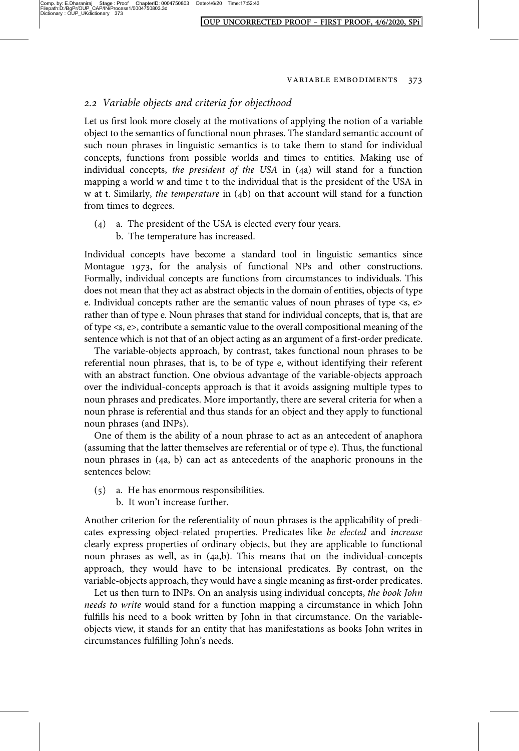#### **OUP UNCORRECTED PROOF – FIRST PROOF, 4/6/2020, SPi**

### VARIABLE EMBODIMENTS 373

### 2.2 Variable objects and criteria for objecthood

Let us first look more closely at the motivations of applying the notion of a variable object to the semantics of functional noun phrases. The standard semantic account of such noun phrases in linguistic semantics is to take them to stand for individual concepts, functions from possible worlds and times to entities. Making use of individual concepts, the president of the USA in  $(4a)$  will stand for a function mapping a world w and time t to the individual that is the president of the USA in w at t. Similarly, the temperature in  $(4b)$  on that account will stand for a function from times to degrees.

- (4) a. The president of the USA is elected every four years.
	- b. The temperature has increased.

Individual concepts have become a standard tool in linguistic semantics since Montague 1973, for the analysis of functional NPs and other constructions. Formally, individual concepts are functions from circumstances to individuals. This does not mean that they act as abstract objects in the domain of entities, objects of type e. Individual concepts rather are the semantic values of noun phrases of type <s, e> rather than of type e. Noun phrases that stand for individual concepts, that is, that are of type <s, e>, contribute a semantic value to the overall compositional meaning of the sentence which is not that of an object acting as an argument of a first-order predicate.

The variable-objects approach, by contrast, takes functional noun phrases to be referential noun phrases, that is, to be of type e, without identifying their referent with an abstract function. One obvious advantage of the variable-objects approach over the individual-concepts approach is that it avoids assigning multiple types to noun phrases and predicates. More importantly, there are several criteria for when a noun phrase is referential and thus stands for an object and they apply to functional noun phrases (and INPs).

One of them is the ability of a noun phrase to act as an antecedent of anaphora (assuming that the latter themselves are referential or of type e). Thus, the functional noun phrases in (4a, b) can act as antecedents of the anaphoric pronouns in the sentences below:

- $(5)$  a. He has enormous responsibilities.
	- b. It won't increase further.

Another criterion for the referentiality of noun phrases is the applicability of predicates expressing object-related properties. Predicates like be elected and increase clearly express properties of ordinary objects, but they are applicable to functional noun phrases as well, as in  $(a<sub>4</sub>,b)$ . This means that on the individual-concepts approach, they would have to be intensional predicates. By contrast, on the variable-objects approach, they would have a single meaning as first-order predicates.

Let us then turn to INPs. On an analysis using individual concepts, the book John needs to write would stand for a function mapping a circumstance in which John fulfills his need to a book written by John in that circumstance. On the variableobjects view, it stands for an entity that has manifestations as books John writes in circumstances fulfilling John's needs.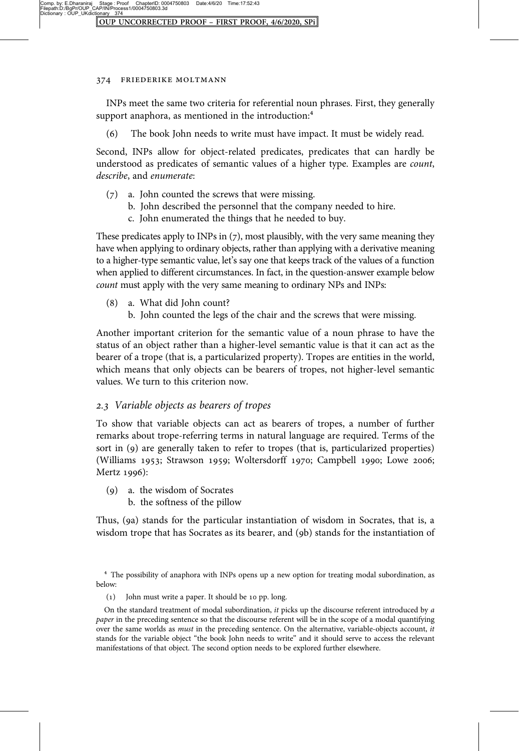INPs meet the same two criteria for referential noun phrases. First, they generally support anaphora, as mentioned in the introduction:<sup>4</sup>

(6) The book John needs to write must have impact. It must be widely read.

Second, INPs allow for object-related predicates, predicates that can hardly be understood as predicates of semantic values of a higher type. Examples are count, describe, and enumerate:

- $(7)$  a. John counted the screws that were missing.
	- b. John described the personnel that the company needed to hire.
	- c. John enumerated the things that he needed to buy.

These predicates apply to INPs in  $(7)$ , most plausibly, with the very same meaning they have when applying to ordinary objects, rather than applying with a derivative meaning to a higher-type semantic value, let's say one that keeps track of the values of a function when applied to different circumstances. In fact, in the question-answer example below count must apply with the very same meaning to ordinary NPs and INPs:

- (8) a. What did John count?
	- b. John counted the legs of the chair and the screws that were missing.

Another important criterion for the semantic value of a noun phrase to have the status of an object rather than a higher-level semantic value is that it can act as the bearer of a trope (that is, a particularized property). Tropes are entities in the world, which means that only objects can be bearers of tropes, not higher-level semantic values. We turn to this criterion now.

### 2.3 Variable objects as bearers of tropes

To show that variable objects can act as bearers of tropes, a number of further remarks about trope-referring terms in natural language are required. Terms of the sort in  $(9)$  are generally taken to refer to tropes (that is, particularized properties) (Williams 1953; Strawson 1959; Woltersdorff 1970; Campbell 1990; Lowe 2006; Mertz 1996):

- () a. the wisdom of Socrates
	- b. the softness of the pillow

Thus, (9a) stands for the particular instantiation of wisdom in Socrates, that is, a wisdom trope that has Socrates as its bearer, and (9b) stands for the instantiation of

⁴ The possibility of anaphora with INPs opens up a new option for treating modal subordination, as below:

 $(1)$  John must write a paper. It should be 10 pp. long.

On the standard treatment of modal subordination, it picks up the discourse referent introduced by  $a$ paper in the preceding sentence so that the discourse referent will be in the scope of a modal quantifying over the same worlds as must in the preceding sentence. On the alternative, variable-objects account, it stands for the variable object "the book John needs to write" and it should serve to access the relevant manifestations of that object. The second option needs to be explored further elsewhere.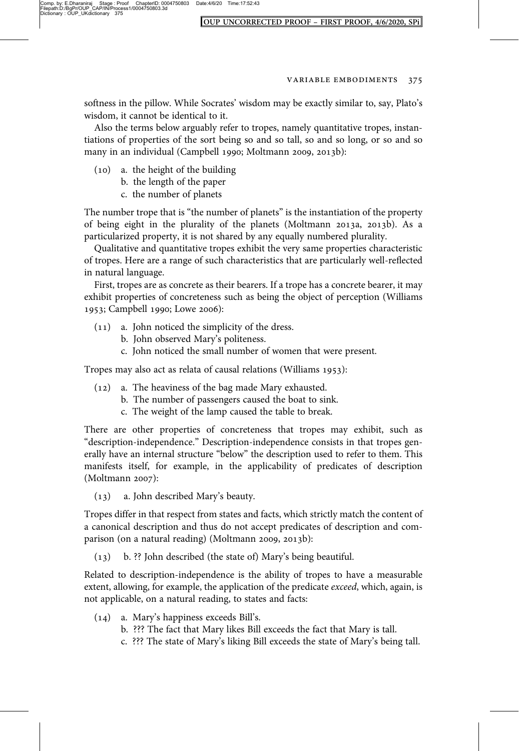### VARIABLE EMBODIMENTS 375

softness in the pillow. While Socrates' wisdom may be exactly similar to, say, Plato's wisdom, it cannot be identical to it.

Also the terms below arguably refer to tropes, namely quantitative tropes, instantiations of properties of the sort being so and so tall, so and so long, or so and so many in an individual (Campbell 1990; Moltmann 2009, 2013b):

- $(10)$  a. the height of the building
	- b. the length of the paper
	- c. the number of planets

The number trope that is "the number of planets" is the instantiation of the property of being eight in the plurality of the planets (Moltmann 2013a, 2013b). As a particularized property, it is not shared by any equally numbered plurality.

Qualitative and quantitative tropes exhibit the very same properties characteristic of tropes. Here are a range of such characteristics that are particularly well-reflected in natural language.

First, tropes are as concrete as their bearers. If a trope has a concrete bearer, it may exhibit properties of concreteness such as being the object of perception (Williams 1953; Campbell 1990; Lowe 2006):

- $(11)$  a. John noticed the simplicity of the dress.
	- b. John observed Mary's politeness.
	- c. John noticed the small number of women that were present.

Tropes may also act as relata of causal relations (Williams 1953):

- $(12)$  a. The heaviness of the bag made Mary exhausted.
	- b. The number of passengers caused the boat to sink.
	- c. The weight of the lamp caused the table to break.

There are other properties of concreteness that tropes may exhibit, such as "description-independence." Description-independence consists in that tropes generally have an internal structure "below" the description used to refer to them. This manifests itself, for example, in the applicability of predicates of description  $(Moltmann 2007):$ 

(13) a. John described Mary's beauty.

Tropes differ in that respect from states and facts, which strictly match the content of a canonical description and thus do not accept predicates of description and comparison (on a natural reading) (Moltmann 2009, 2013b):

 $(13)$  b. ?? John described (the state of) Mary's being beautiful.

Related to description-independence is the ability of tropes to have a measurable extent, allowing, for example, the application of the predicate exceed, which, again, is not applicable, on a natural reading, to states and facts:

- () a. Mary's happiness exceeds Bill's.
	- b. ??? The fact that Mary likes Bill exceeds the fact that Mary is tall.
	- c. ??? The state of Mary's liking Bill exceeds the state of Mary's being tall.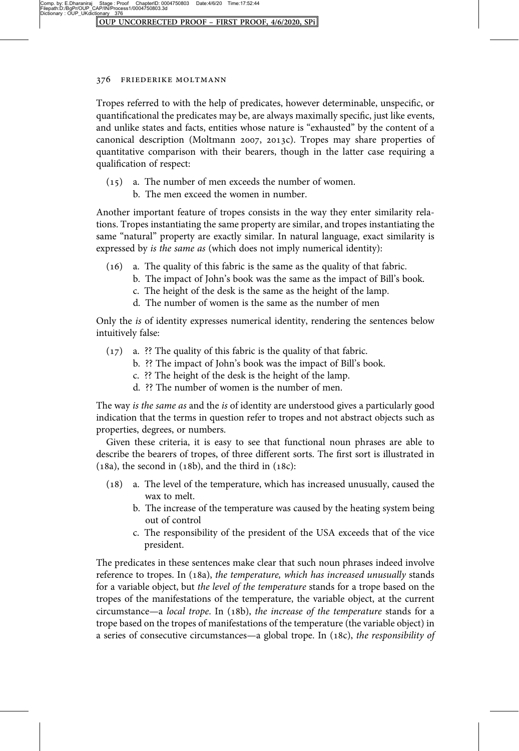Tropes referred to with the help of predicates, however determinable, unspecific, or quantificational the predicates may be, are always maximally specific, just like events, and unlike states and facts, entities whose nature is "exhausted" by the content of a canonical description (Moltmann 2007, 2013c). Tropes may share properties of quantitative comparison with their bearers, though in the latter case requiring a qualification of respect:

- $(15)$  a. The number of men exceeds the number of women.
	- b. The men exceed the women in number.

Another important feature of tropes consists in the way they enter similarity relations. Tropes instantiating the same property are similar, and tropes instantiating the same "natural" property are exactly similar. In natural language, exact similarity is expressed by is the same as (which does not imply numerical identity):

- $(16)$  a. The quality of this fabric is the same as the quality of that fabric.
	- b. The impact of John's book was the same as the impact of Bill's book.
	- c. The height of the desk is the same as the height of the lamp.
	- d. The number of women is the same as the number of men

Only the is of identity expresses numerical identity, rendering the sentences below intuitively false:

- $(17)$  a. ?? The quality of this fabric is the quality of that fabric.
	- b. ?? The impact of John's book was the impact of Bill's book.
	- c. ?? The height of the desk is the height of the lamp.
	- d. ?? The number of women is the number of men.

The way is the same as and the is of identity are understood gives a particularly good indication that the terms in question refer to tropes and not abstract objects such as properties, degrees, or numbers.

Given these criteria, it is easy to see that functional noun phrases are able to describe the bearers of tropes, of three different sorts. The first sort is illustrated in  $(18a)$ , the second in  $(18b)$ , and the third in  $(18c)$ :

- () a. The level of the temperature, which has increased unusually, caused the wax to melt.
	- b. The increase of the temperature was caused by the heating system being out of control
	- c. The responsibility of the president of the USA exceeds that of the vice president.

The predicates in these sentences make clear that such noun phrases indeed involve reference to tropes. In (18a), the temperature, which has increased unusually stands for a variable object, but the level of the temperature stands for a trope based on the tropes of the manifestations of the temperature, the variable object, at the current circumstance—a local trope. In  $(18b)$ , the increase of the temperature stands for a trope based on the tropes of manifestations of the temperature (the variable object) in a series of consecutive circumstances—a global trope. In  $(18c)$ , the responsibility of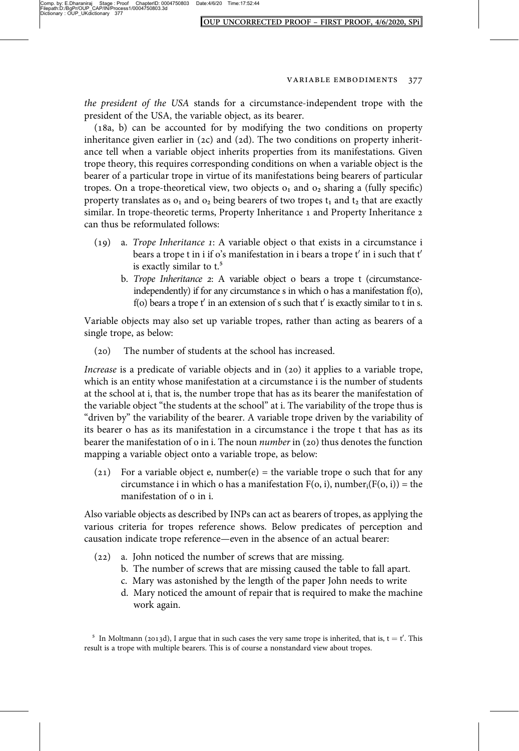#### **OUP UNCORRECTED PROOF – FIRST PROOF, 4/6/2020, SPi**

### VARIABLE EMBODIMENTS 377

the president of the USA stands for a circumstance-independent trope with the president of the USA, the variable object, as its bearer.

(18a, b) can be accounted for by modifying the two conditions on property inheritance given earlier in  $(2c)$  and  $(2d)$ . The two conditions on property inheritance tell when a variable object inherits properties from its manifestations. Given trope theory, this requires corresponding conditions on when a variable object is the bearer of a particular trope in virtue of its manifestations being bearers of particular tropes. On a trope-theoretical view, two objects  $o_1$  and  $o_2$  sharing a (fully specific) property translates as  $o_1$  and  $o_2$  being bearers of two tropes  $t_1$  and  $t_2$  that are exactly similar. In trope-theoretic terms, Property Inheritance 1 and Property Inheritance 2 can thus be reformulated follows:

- $(19)$  a. Trope Inheritance 1: A variable object o that exists in a circumstance i bears a trope t in i if o's manifestation in i bears a trope  $t'$  in i such that  $t'$ is exactly similar to t.<sup>5</sup>
	- b. Trope Inheritance 2: A variable object o bears a trope t (circumstanceindependently) if for any circumstance s in which o has a manifestation f(o), f(o) bears a trope  $t'$  in an extension of s such that  $t'$  is exactly similar to t in s.

Variable objects may also set up variable tropes, rather than acting as bearers of a single trope, as below:

(20) The number of students at the school has increased.

Increase is a predicate of variable objects and in  $(20)$  it applies to a variable trope, which is an entity whose manifestation at a circumstance i is the number of students at the school at i, that is, the number trope that has as its bearer the manifestation of the variable object "the students at the school" at i. The variability of the trope thus is "driven by" the variability of the bearer. A variable trope driven by the variability of its bearer o has as its manifestation in a circumstance i the trope t that has as its bearer the manifestation of o in i. The noun *number* in (20) thus denotes the function mapping a variable object onto a variable trope, as below:

(21) For a variable object e, number(e) = the variable trope o such that for any circumstance i in which o has a manifestation  $F(0, i)$ , number<sub>i</sub> $(F(0, i)) =$  the manifestation of o in i.

Also variable objects as described by INPs can act as bearers of tropes, as applying the various criteria for tropes reference shows. Below predicates of perception and causation indicate trope reference—even in the absence of an actual bearer:

- $(22)$  a. John noticed the number of screws that are missing.
	- b. The number of screws that are missing caused the table to fall apart.
	- c. Mary was astonished by the length of the paper John needs to write
	- d. Mary noticed the amount of repair that is required to make the machine work again.

<sup>5</sup> In Moltmann (2013d), I argue that in such cases the very same trope is inherited, that is, t = t'. This sult is a trope with multiple bearers. This is of course a ponstandard view about tropes result is a trope with multiple bearers. This is of course a nonstandard view about tropes.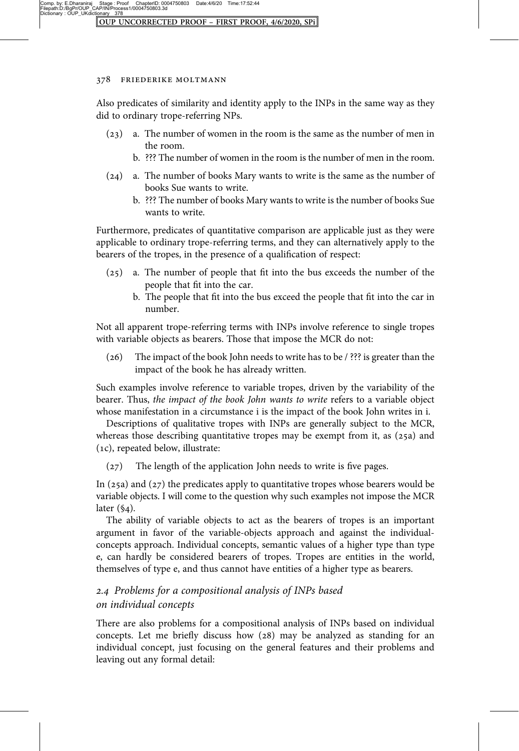Also predicates of similarity and identity apply to the INPs in the same way as they did to ordinary trope-referring NPs.

- $(23)$  a. The number of women in the room is the same as the number of men in the room.
	- b. ??? The number of women in the room is the number of men in the room.
- $(24)$  a. The number of books Mary wants to write is the same as the number of books Sue wants to write.
	- b. ??? The number of books Mary wants to write is the number of books Sue wants to write.

Furthermore, predicates of quantitative comparison are applicable just as they were applicable to ordinary trope-referring terms, and they can alternatively apply to the bearers of the tropes, in the presence of a qualification of respect:

- $(25)$  a. The number of people that fit into the bus exceeds the number of the people that fit into the car.
	- b. The people that fit into the bus exceed the people that fit into the car in number.

Not all apparent trope-referring terms with INPs involve reference to single tropes with variable objects as bearers. Those that impose the MCR do not:

() The impact of the book John needs to write has to be / ??? is greater than the impact of the book he has already written.

Such examples involve reference to variable tropes, driven by the variability of the bearer. Thus, the impact of the book John wants to write refers to a variable object whose manifestation in a circumstance i is the impact of the book John writes in i.

Descriptions of qualitative tropes with INPs are generally subject to the MCR, whereas those describing quantitative tropes may be exempt from it, as  $(25a)$  and  $(1c)$ , repeated below, illustrate:

 $(27)$  The length of the application John needs to write is five pages.

In  $(25a)$  and  $(27)$  the predicates apply to quantitative tropes whose bearers would be variable objects. I will come to the question why such examples not impose the MCR later  $(\S_4)$ .

The ability of variable objects to act as the bearers of tropes is an important argument in favor of the variable-objects approach and against the individualconcepts approach. Individual concepts, semantic values of a higher type than type e, can hardly be considered bearers of tropes. Tropes are entities in the world, themselves of type e, and thus cannot have entities of a higher type as bearers.

# 2.4 Problems for a compositional analysis of INPs based on individual concepts

There are also problems for a compositional analysis of INPs based on individual concepts. Let me briefly discuss how  $(28)$  may be analyzed as standing for an individual concept, just focusing on the general features and their problems and leaving out any formal detail: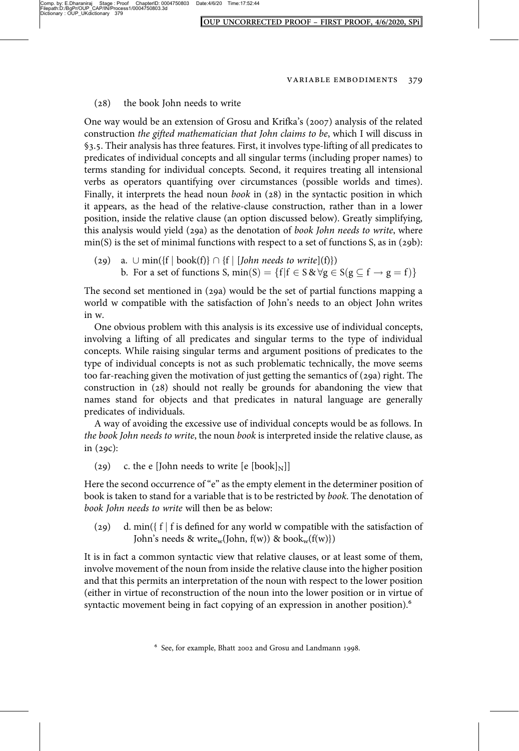### **OUP UNCORRECTED PROOF – FIRST PROOF, 4/6/2020, SPi**

### VARIABLE EMBODIMENTS 379

### $(28)$  the book John needs to write

One way would be an extension of Grosu and Krifka's ( $2007$ ) analysis of the related construction the gifted mathematician that John claims to be, which I will discuss in §3.5. Their analysis has three features. First, it involves type-lifting of all predicates to predicates of individual concepts and all singular terms (including proper names) to terms standing for individual concepts. Second, it requires treating all intensional verbs as operators quantifying over circumstances (possible worlds and times). Finally, it interprets the head noun *book* in  $(28)$  in the syntactic position in which it appears, as the head of the relative-clause construction, rather than in a lower position, inside the relative clause (an option discussed below). Greatly simplifying, this analysis would yield (29a) as the denotation of book John needs to write, where  $\min(S)$  is the set of minimal functions with respect to a set of functions S, as in (29b):

- (29) a.  $\cup$  min({f | book(f)}  $\cap$  {f | [John needs to write](f)})
	- b. For a set of functions S,  $min(S) = \{f | f \in S \& \forall g \in S(g \subseteq f \rightarrow g = f)\}\$

The second set mentioned in (29a) would be the set of partial functions mapping a world w compatible with the satisfaction of John's needs to an object John writes in w.

One obvious problem with this analysis is its excessive use of individual concepts, involving a lifting of all predicates and singular terms to the type of individual concepts. While raising singular terms and argument positions of predicates to the type of individual concepts is not as such problematic technically, the move seems too far-reaching given the motivation of just getting the semantics of  $(29a)$  right. The construction in  $(28)$  should not really be grounds for abandoning the view that names stand for objects and that predicates in natural language are generally predicates of individuals.

A way of avoiding the excessive use of individual concepts would be as follows. In the book John needs to write, the noun book is interpreted inside the relative clause, as in  $(29c)$ :

(29) c. the e [John needs to write  $[e [book]_N]$ ]

Here the second occurrence of "e" as the empty element in the determiner position of book is taken to stand for a variable that is to be restricted by book. The denotation of book John needs to write will then be as below:

(29) d. min( $\{ f | f \}$  is defined for any world w compatible with the satisfaction of John's needs & write<sub>w</sub>(John, f(w)) & book<sub>w</sub>(f(w)})

It is in fact a common syntactic view that relative clauses, or at least some of them, involve movement of the noun from inside the relative clause into the higher position and that this permits an interpretation of the noun with respect to the lower position (either in virtue of reconstruction of the noun into the lower position or in virtue of syntactic movement being in fact copying of an expression in another position).<sup>6</sup>

<sup>&</sup>lt;sup>6</sup> See, for example, Bhatt 2002 and Grosu and Landmann 1998.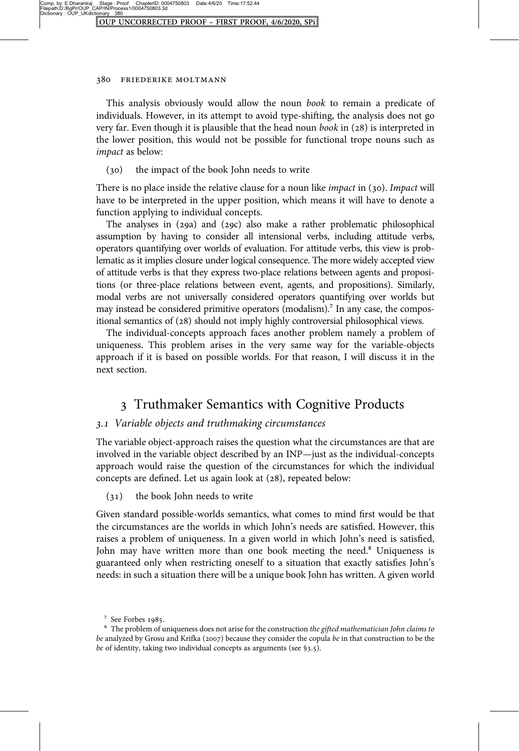This analysis obviously would allow the noun book to remain a predicate of individuals. However, in its attempt to avoid type-shifting, the analysis does not go very far. Even though it is plausible that the head noun book in  $(28)$  is interpreted in the lower position, this would not be possible for functional trope nouns such as impact as below:

(30) the impact of the book John needs to write

There is no place inside the relative clause for a noun like *impact* in  $(30)$ . *Impact* will have to be interpreted in the upper position, which means it will have to denote a function applying to individual concepts.

The analyses in  $(29a)$  and  $(29c)$  also make a rather problematic philosophical assumption by having to consider all intensional verbs, including attitude verbs, operators quantifying over worlds of evaluation. For attitude verbs, this view is problematic as it implies closure under logical consequence. The more widely accepted view of attitude verbs is that they express two-place relations between agents and propositions (or three-place relations between event, agents, and propositions). Similarly, modal verbs are not universally considered operators quantifying over worlds but may instead be considered primitive operators (modalism).<sup>7</sup> In any case, the compositional semantics of (28) should not imply highly controversial philosophical views.

The individual-concepts approach faces another problem namely a problem of uniqueness. This problem arises in the very same way for the variable-objects approach if it is based on possible worlds. For that reason, I will discuss it in the next section.

# Truthmaker Semantics with Cognitive Products

### . Variable objects and truthmaking circumstances

The variable object-approach raises the question what the circumstances are that are involved in the variable object described by an INP—just as the individual-concepts approach would raise the question of the circumstances for which the individual concepts are defined. Let us again look at  $(28)$ , repeated below:

 $(31)$  the book John needs to write

Given standard possible-worlds semantics, what comes to mind first would be that the circumstances are the worlds in which John's needs are satisfied. However, this raises a problem of uniqueness. In a given world in which John's need is satisfied, John may have written more than one book meeting the need.<sup>8</sup> Uniqueness is guaranteed only when restricting oneself to a situation that exactly satisfies John's needs: in such a situation there will be a unique book John has written. A given world

<sup>&</sup>lt;sup>7</sup> See Forbes 1985.

<sup>&</sup>lt;sup>8</sup> The problem of uniqueness does not arise for the construction the gifted mathematician John claims to be analyzed by Grosu and Krifka (2007) because they consider the copula be in that construction to be the be of identity, taking two individual concepts as arguments (see §3.5).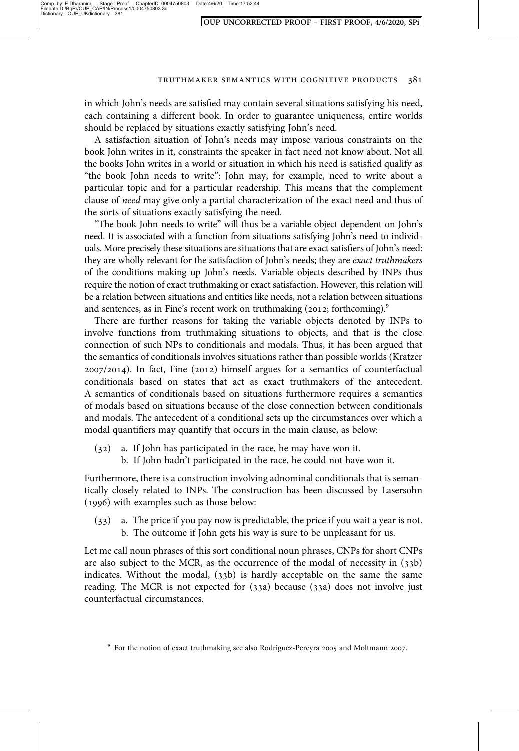### TRUTHMAKER SEMANTICS WITH COGNITIVE PRODUCTS 381

in which John's needs are satisfied may contain several situations satisfying his need, each containing a different book. In order to guarantee uniqueness, entire worlds should be replaced by situations exactly satisfying John's need.

A satisfaction situation of John's needs may impose various constraints on the book John writes in it, constraints the speaker in fact need not know about. Not all the books John writes in a world or situation in which his need is satisfied qualify as "the book John needs to write": John may, for example, need to write about a particular topic and for a particular readership. This means that the complement clause of need may give only a partial characterization of the exact need and thus of the sorts of situations exactly satisfying the need.

"The book John needs to write" will thus be a variable object dependent on John's need. It is associated with a function from situations satisfying John's need to individuals. More precisely these situations are situations that are exact satisfiers of John's need: they are wholly relevant for the satisfaction of John's needs; they are exact truthmakers of the conditions making up John's needs. Variable objects described by INPs thus require the notion of exact truthmaking or exact satisfaction. However, this relation will be a relation between situations and entities like needs, not a relation between situations and sentences, as in Fine's recent work on truthmaking  $(2012;$  forthcoming). $\degree$ 

There are further reasons for taking the variable objects denoted by INPs to involve functions from truthmaking situations to objects, and that is the close connection of such NPs to conditionals and modals. Thus, it has been argued that the semantics of conditionals involves situations rather than possible worlds (Kratzer  $2007/2014$ ). In fact, Fine ( $2012$ ) himself argues for a semantics of counterfactual conditionals based on states that act as exact truthmakers of the antecedent. A semantics of conditionals based on situations furthermore requires a semantics of modals based on situations because of the close connection between conditionals and modals. The antecedent of a conditional sets up the circumstances over which a modal quantifiers may quantify that occurs in the main clause, as below:

- $(32)$  a. If John has participated in the race, he may have won it.
	- b. If John hadn't participated in the race, he could not have won it.

Furthermore, there is a construction involving adnominal conditionals that is semantically closely related to INPs. The construction has been discussed by Lasersohn  $(1996)$  with examples such as those below:

 $(33)$  a. The price if you pay now is predictable, the price if you wait a year is not. b. The outcome if John gets his way is sure to be unpleasant for us.

Let me call noun phrases of this sort conditional noun phrases, CNPs for short CNPs are also subject to the MCR, as the occurrence of the modal of necessity in  $(33b)$ indicates. Without the modal,  $(33b)$  is hardly acceptable on the same the same reading. The MCR is not expected for  $(33a)$  because  $(33a)$  does not involve just counterfactual circumstances.

<sup>&</sup>lt;sup>9</sup> For the notion of exact truthmaking see also Rodriguez-Pereyra 2005 and Moltmann 2007.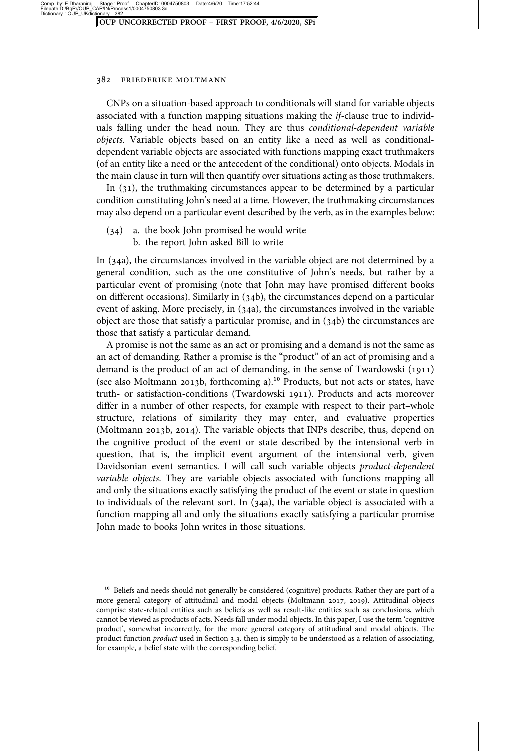CNPs on a situation-based approach to conditionals will stand for variable objects associated with a function mapping situations making the if-clause true to individuals falling under the head noun. They are thus conditional-dependent variable objects. Variable objects based on an entity like a need as well as conditionaldependent variable objects are associated with functions mapping exact truthmakers (of an entity like a need or the antecedent of the conditional) onto objects. Modals in the main clause in turn will then quantify over situations acting as those truthmakers.

In  $(31)$ , the truthmaking circumstances appear to be determined by a particular condition constituting John's need at a time. However, the truthmaking circumstances may also depend on a particular event described by the verb, as in the examples below:

- $(34)$  a. the book John promised he would write
	- b. the report John asked Bill to write

In  $(34a)$ , the circumstances involved in the variable object are not determined by a general condition, such as the one constitutive of John's needs, but rather by a particular event of promising (note that John may have promised different books on different occasions). Similarly in  $(34b)$ , the circumstances depend on a particular event of asking. More precisely, in  $(34a)$ , the circumstances involved in the variable object are those that satisfy a particular promise, and in  $(34b)$  the circumstances are those that satisfy a particular demand.

A promise is not the same as an act or promising and a demand is not the same as an act of demanding. Rather a promise is the "product" of an act of promising and a demand is the product of an act of demanding, in the sense of Twardowski  $(1911)$ (see also Moltmann 2013b, forthcoming a).<sup>10</sup> Products, but not acts or states, have truth- or satisfaction-conditions (Twardowski 1911). Products and acts moreover differ in a number of other respects, for example with respect to their part–whole structure, relations of similarity they may enter, and evaluative properties (Moltmann 2013b, 2014). The variable objects that INPs describe, thus, depend on the cognitive product of the event or state described by the intensional verb in question, that is, the implicit event argument of the intensional verb, given Davidsonian event semantics. I will call such variable objects product-dependent variable objects. They are variable objects associated with functions mapping all and only the situations exactly satisfying the product of the event or state in question to individuals of the relevant sort. In  $(34a)$ , the variable object is associated with a function mapping all and only the situations exactly satisfying a particular promise John made to books John writes in those situations.

<sup>&</sup>lt;sup>10</sup> Beliefs and needs should not generally be considered (cognitive) products. Rather they are part of a more general category of attitudinal and modal objects (Moltmann 2017, 2019). Attitudinal objects comprise state-related entities such as beliefs as well as result-like entities such as conclusions, which cannot be viewed as products of acts. Needs fall under modal objects. In this paper, I use the term 'cognitive product', somewhat incorrectly, for the more general category of attitudinal and modal objects. The product function *product* used in Section 3.3. then is simply to be understood as a relation of associating, for example, a belief state with the corresponding belief.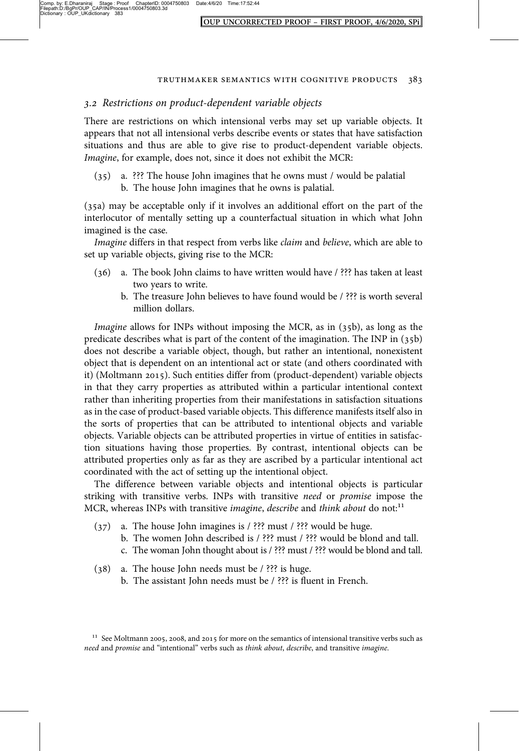### TRUTHMAKER SEMANTICS WITH COGNITIVE PRODUCTS 383

### . Restrictions on product-dependent variable objects

There are restrictions on which intensional verbs may set up variable objects. It appears that not all intensional verbs describe events or states that have satisfaction situations and thus are able to give rise to product-dependent variable objects. Imagine, for example, does not, since it does not exhibit the MCR:

 $(35)$  a. ??? The house John imagines that he owns must / would be palatial b. The house John imagines that he owns is palatial.

 $(35a)$  may be acceptable only if it involves an additional effort on the part of the interlocutor of mentally setting up a counterfactual situation in which what John imagined is the case.

Imagine differs in that respect from verbs like *claim* and *believe*, which are able to set up variable objects, giving rise to the MCR:

- $(36)$  a. The book John claims to have written would have  $/$ ??? has taken at least two years to write.
	- b. The treasure John believes to have found would be / ??? is worth several million dollars.

*Imagine* allows for INPs without imposing the MCR, as in  $(35b)$ , as long as the predicate describes what is part of the content of the imagination. The INP in  $(35b)$ does not describe a variable object, though, but rather an intentional, nonexistent object that is dependent on an intentional act or state (and others coordinated with it) (Moltmann 2015). Such entities differ from (product-dependent) variable objects in that they carry properties as attributed within a particular intentional context rather than inheriting properties from their manifestations in satisfaction situations as in the case of product-based variable objects. This difference manifests itself also in the sorts of properties that can be attributed to intentional objects and variable objects. Variable objects can be attributed properties in virtue of entities in satisfaction situations having those properties. By contrast, intentional objects can be attributed properties only as far as they are ascribed by a particular intentional act coordinated with the act of setting up the intentional object.

The difference between variable objects and intentional objects is particular striking with transitive verbs. INPs with transitive need or promise impose the MCR, whereas INPs with transitive imagine, describe and think about do not: $<sup>11</sup>$ </sup>

- ( $37$ ) a. The house John imagines is / ??? must / ??? would be huge.
	- b. The women John described is / ??? must / ??? would be blond and tall.
	- c. The woman John thought about is / ??? must / ??? would be blond and tall.
- (38) a. The house John needs must be / ??? is huge.
	- b. The assistant John needs must be / ??? is fluent in French.

 $11$  See Moltmann 2005, 2008, and 2015 for more on the semantics of intensional transitive verbs such as need and promise and "intentional" verbs such as think about, describe, and transitive imagine.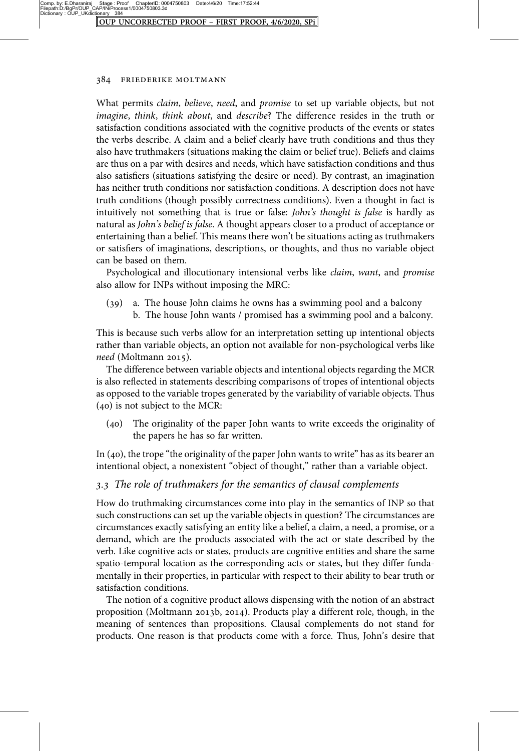What permits *claim, believe, need, and promise* to set up variable objects, but not imagine, think, think about, and describe? The difference resides in the truth or satisfaction conditions associated with the cognitive products of the events or states the verbs describe. A claim and a belief clearly have truth conditions and thus they also have truthmakers (situations making the claim or belief true). Beliefs and claims are thus on a par with desires and needs, which have satisfaction conditions and thus also satisfiers (situations satisfying the desire or need). By contrast, an imagination has neither truth conditions nor satisfaction conditions. A description does not have truth conditions (though possibly correctness conditions). Even a thought in fact is intuitively not something that is true or false: John's thought is false is hardly as natural as John's belief is false. A thought appears closer to a product of acceptance or entertaining than a belief. This means there won't be situations acting as truthmakers or satisfiers of imaginations, descriptions, or thoughts, and thus no variable object can be based on them.

Psychological and illocutionary intensional verbs like claim, want, and promise also allow for INPs without imposing the MRC:

- $(39)$  a. The house John claims he owns has a swimming pool and a balcony
	- b. The house John wants / promised has a swimming pool and a balcony.

This is because such verbs allow for an interpretation setting up intentional objects rather than variable objects, an option not available for non-psychological verbs like  $need$  (Moltmann 2015).

The difference between variable objects and intentional objects regarding the MCR is also reflected in statements describing comparisons of tropes of intentional objects as opposed to the variable tropes generated by the variability of variable objects. Thus  $(40)$  is not subject to the MCR:

(40) The originality of the paper John wants to write exceeds the originality of the papers he has so far written.

In  $(40)$ , the trope "the originality of the paper John wants to write" has as its bearer an intentional object, a nonexistent "object of thought," rather than a variable object.

### . The role of truthmakers for the semantics of clausal complements

How do truthmaking circumstances come into play in the semantics of INP so that such constructions can set up the variable objects in question? The circumstances are circumstances exactly satisfying an entity like a belief, a claim, a need, a promise, or a demand, which are the products associated with the act or state described by the verb. Like cognitive acts or states, products are cognitive entities and share the same spatio-temporal location as the corresponding acts or states, but they differ fundamentally in their properties, in particular with respect to their ability to bear truth or satisfaction conditions.

The notion of a cognitive product allows dispensing with the notion of an abstract proposition (Moltmann 2013b, 2014). Products play a different role, though, in the meaning of sentences than propositions. Clausal complements do not stand for products. One reason is that products come with a force. Thus, John's desire that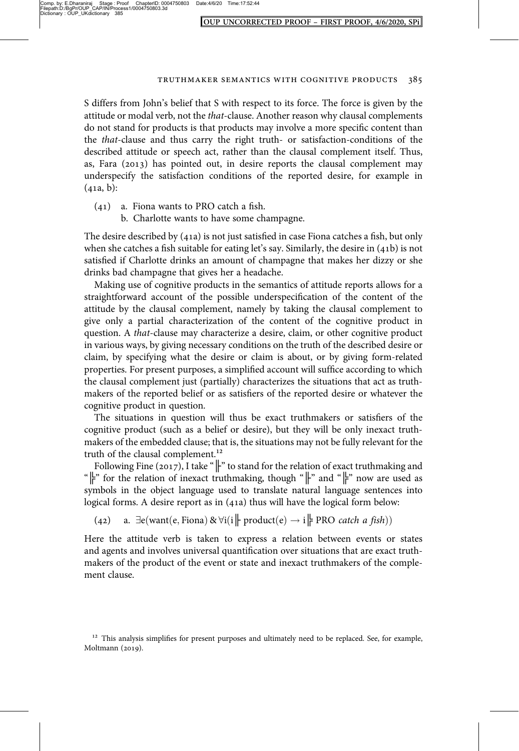### TRUTHMAKER SEMANTICS WITH COGNITIVE PRODUCTS 385

S differs from John's belief that S with respect to its force. The force is given by the attitude or modal verb, not the that-clause. Another reason why clausal complements do not stand for products is that products may involve a more specific content than the that-clause and thus carry the right truth- or satisfaction-conditions of the described attitude or speech act, rather than the clausal complement itself. Thus, as, Fara  $(2013)$  has pointed out, in desire reports the clausal complement may underspecify the satisfaction conditions of the reported desire, for example in  $(41a, b)$ :

- $(41)$  a. Fiona wants to PRO catch a fish.
	- b. Charlotte wants to have some champagne.

The desire described by  $(41a)$  is not just satisfied in case Fiona catches a fish, but only when she catches a fish suitable for eating let's say. Similarly, the desire in  $(41b)$  is not satisfied if Charlotte drinks an amount of champagne that makes her dizzy or she drinks bad champagne that gives her a headache.

Making use of cognitive products in the semantics of attitude reports allows for a straightforward account of the possible underspecification of the content of the attitude by the clausal complement, namely by taking the clausal complement to give only a partial characterization of the content of the cognitive product in question. A that-clause may characterize a desire, claim, or other cognitive product in various ways, by giving necessary conditions on the truth of the described desire or claim, by specifying what the desire or claim is about, or by giving form-related properties. For present purposes, a simplified account will suffice according to which the clausal complement just (partially) characterizes the situations that act as truthmakers of the reported belief or as satisfiers of the reported desire or whatever the cognitive product in question.

The situations in question will thus be exact truthmakers or satisfiers of the cognitive product (such as a belief or desire), but they will be only inexact truthmakers of the embedded clause; that is, the situations may not be fully relevant for the truth of the clausal complement.<sup>12</sup>

Following Fine (2017), I take " $\Vert$ " to stand for the relation of exact truthmaking and " $\| \cdot \|$ " for the relation of inexact truthmaking, though " $\| \cdot \|$ " and " $\| \cdot \|$ " now are used as symbols in the object language used to translate natural language sentences into logical forms. A desire report as in  $(41a)$  thus will have the logical form below:

(42) a. 
$$
\exists e(\text{want}(e, \text{Fiona}) \& \forall i(i) \mid \text{product}(e) \rightarrow i \mid \text{PRO } catch \text{ a fish})
$$
)

Here the attitude verb is taken to express a relation between events or states and agents and involves universal quantification over situations that are exact truthmakers of the product of the event or state and inexact truthmakers of the complement clause.

<sup>&</sup>lt;sup>12</sup> This analysis simplifies for present purposes and ultimately need to be replaced. See, for example, Moltmann (2019).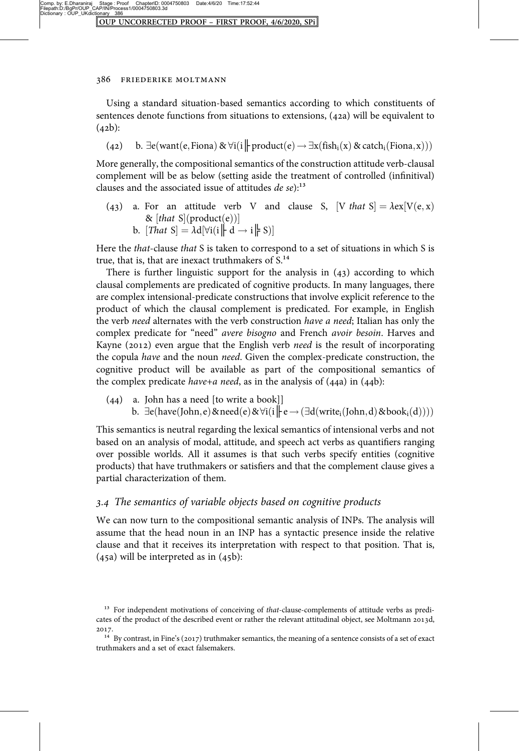Using a standard situation-based semantics according to which constituents of sentences denote functions from situations to extensions,  $(42a)$  will be equivalent to  $(42b)$ :

(42) b.  $\exists$ e $(want(e,Fiona) \& \forall i(i \parallel product(e) \rightarrow \exists x(fish_i(x) \& catch_i(Fiona,x)))$ 

More generally, the compositional semantics of the construction attitude verb-clausal complement will be as below (setting aside the treatment of controlled (infinitival) clauses and the associated issue of attitudes de se):<sup>13</sup>

- (43) a. For an attitude verb V and clause S,  $[V that S] = \lambda \exp(V(e, x))$ <br>&  $[that S] (product(e))]$ & [that S](product(e))]<br>[That S] –  $\lambda d \forall i$ (i]  $d$ b.  $[That S] = \lambda d[\forall i(i \mid d \rightarrow i \mid S)]$
- Here the that-clause that S is taken to correspond to a set of situations in which S is true, that is, that are inexact truthmakers of  $S<sup>14</sup>$

There is further linguistic support for the analysis in  $(43)$  according to which clausal complements are predicated of cognitive products. In many languages, there are complex intensional-predicate constructions that involve explicit reference to the product of which the clausal complement is predicated. For example, in English the verb need alternates with the verb construction have a need; Italian has only the complex predicate for "need" avere bisogno and French avoir besoin. Harves and Kayne (2012) even argue that the English verb need is the result of incorporating the copula *have* and the noun *need*. Given the complex-predicate construction, the cognitive product will be available as part of the compositional semantics of the complex predicate *have+a need*, as in the analysis of  $(44a)$  in  $(44b)$ :

 $(44)$  a. John has a need [to write a book]] b.  $\exists$ e(have(John, e)&need(e)& $\forall$ i(i $\parallel$ e  $\rightarrow$   $(\exists d(write_i(John, d) \& book_i(d))))$ 

This semantics is neutral regarding the lexical semantics of intensional verbs and not based on an analysis of modal, attitude, and speech act verbs as quantifiers ranging over possible worlds. All it assumes is that such verbs specify entities (cognitive products) that have truthmakers or satisfiers and that the complement clause gives a partial characterization of them.

### . The semantics of variable objects based on cognitive products

We can now turn to the compositional semantic analysis of INPs. The analysis will assume that the head noun in an INP has a syntactic presence inside the relative clause and that it receives its interpretation with respect to that position. That is,  $(45a)$  will be interpreted as in  $(45b)$ :

<sup>&</sup>lt;sup>13</sup> For independent motivations of conceiving of that-clause-complements of attitude verbs as predicates of the product of the described event or rather the relevant attitudinal object, see Moltmann 2013d, 2017.

 $14$  By contrast, in Fine's (2017) truthmaker semantics, the meaning of a sentence consists of a set of exact truthmakers and a set of exact falsemakers.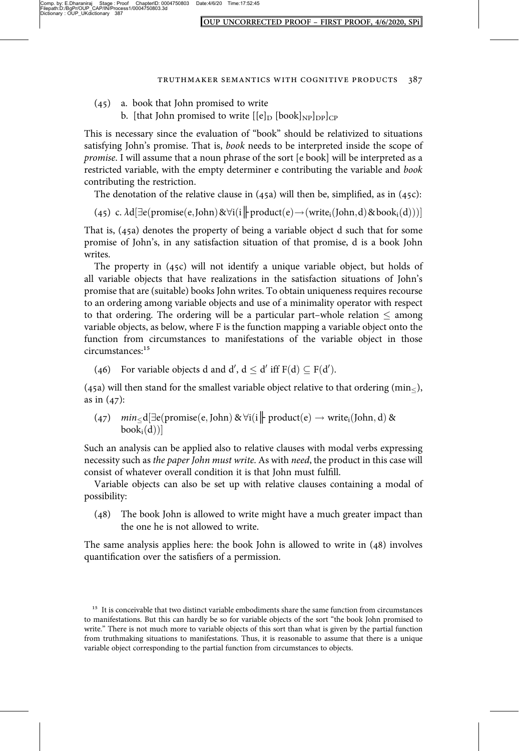### TRUTHMAKER SEMANTICS WITH COGNITIVE PRODUCTS 387

 $(45)$  a. book that John promised to write

b. [that John promised to write  $[[e]_D$  [book] $_{NP}]_{DP}$ ]<sub>CP</sub>

This is necessary since the evaluation of "book" should be relativized to situations satisfying John's promise. That is, book needs to be interpreted inside the scope of promise. I will assume that a noun phrase of the sort [e book] will be interpreted as a restricted variable, with the empty determiner e contributing the variable and book contributing the restriction.

The denotation of the relative clause in  $(45a)$  will then be, simplified, as in  $(45c)$ :

(45) c.  $\lambda d[\exists e(promise(e, John) \& \forall i(i \parallel product(e) \rightarrow (write_i(John, d) \& book_i(d)))]$ 

That is,  $(45a)$  denotes the property of being a variable object d such that for some promise of John's, in any satisfaction situation of that promise, d is a book John writes.

The property in  $(45c)$  will not identify a unique variable object, but holds of all variable objects that have realizations in the satisfaction situations of John's promise that are (suitable) books John writes. To obtain uniqueness requires recourse to an ordering among variable objects and use of a minimality operator with respect to that ordering. The ordering will be a particular part–whole relation  $\leq$  among variable objects, as below, where F is the function mapping a variable object onto the function from circumstances to manifestations of the variable object in those circumstances:<sup>15</sup>

(46) For variable objects d and d',  $d \le d'$  iff  $F(d) \subseteq F(d')$ .

(45a) will then stand for the smallest variable object relative to that ordering (min $\langle$ ), as in  $(47)$ :

 $(i7)$  min<sub><</sub>d[ $\exists$ e(promise(e, John) &  $\forall i(i|\bm{\mu})$  product(e)  $\rightarrow$  write<sub>i</sub>(John, d) &  $book_i(d))$ 

Such an analysis can be applied also to relative clauses with modal verbs expressing necessity such as the paper John must write. As with need, the product in this case will consist of whatever overall condition it is that John must fulfill.

Variable objects can also be set up with relative clauses containing a modal of possibility:

 $(48)$  The book John is allowed to write might have a much greater impact than the one he is not allowed to write.

The same analysis applies here: the book John is allowed to write in  $(48)$  involves quantification over the satisfiers of a permission.

<sup>&</sup>lt;sup>15</sup> It is conceivable that two distinct variable embodiments share the same function from circumstances to manifestations. But this can hardly be so for variable objects of the sort "the book John promised to write." There is not much more to variable objects of this sort than what is given by the partial function from truthmaking situations to manifestations. Thus, it is reasonable to assume that there is a unique variable object corresponding to the partial function from circumstances to objects.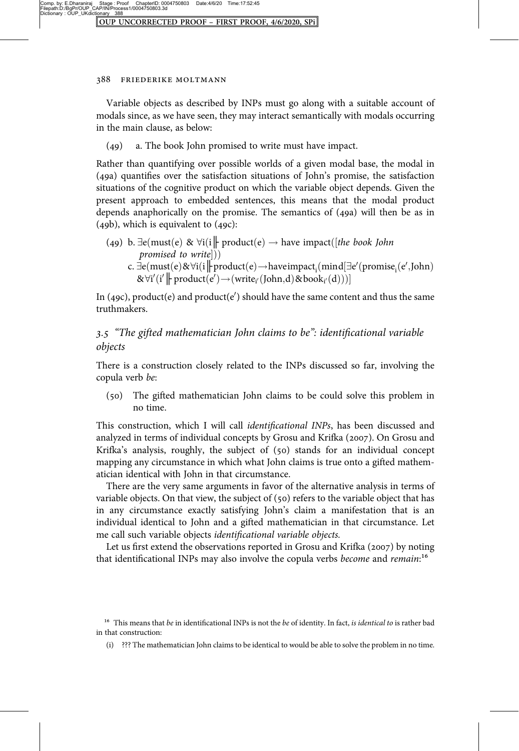Variable objects as described by INPs must go along with a suitable account of modals since, as we have seen, they may interact semantically with modals occurring in the main clause, as below:

 $(49)$  a. The book John promised to write must have impact.

Rather than quantifying over possible worlds of a given modal base, the modal in (49a) quantifies over the satisfaction situations of John's promise, the satisfaction situations of the cognitive product on which the variable object depends. Given the present approach to embedded sentences, this means that the modal product depends anaphorically on the promise. The semantics of  $(49a)$  will then be as in  $(49b)$ , which is equivalent to  $(49c)$ :

(49) b.  $\exists$ e(must(e) &  $\forall$ i(i $\parallel$  product(e)  $\rightarrow$  have impact(*ithe book John* promised to write $|)$ c.  $\exists e (must(e) \& \forall i (i || product(e) \rightarrow have impact_i (mind[\exists e'(promise_i(e',John), \& \forall i' (i' || product(e') \rightarrow (write_i (John d) \& book_i(d))))$  $\&\forall i' (i' \parallel product(e') \rightarrow (write_{i'}(John,d) \&book_{i'}(d))))$ 

In (49c), product(e) and  $product(e')$  should have the same content and thus the same truthmakers.

## . "The gifted mathematician John claims to be": identificational variable objects

There is a construction closely related to the INPs discussed so far, involving the copula verb be:

(50) The gifted mathematician John claims to be could solve this problem in no time.

This construction, which I will call identificational INPs, has been discussed and analyzed in terms of individual concepts by Grosu and Krifka (2007). On Grosu and Krifka's analysis, roughly, the subject of (50) stands for an individual concept mapping any circumstance in which what John claims is true onto a gifted mathematician identical with John in that circumstance.

There are the very same arguments in favor of the alternative analysis in terms of variable objects. On that view, the subject of  $(50)$  refers to the variable object that has in any circumstance exactly satisfying John's claim a manifestation that is an individual identical to John and a gifted mathematician in that circumstance. Let me call such variable objects identificational variable objects.

Let us first extend the observations reported in Grosu and Krifka (2007) by noting that identificational INPs may also involve the copula verbs become and remain:<sup>16</sup>

(i) ??? The mathematician John claims to be identical to would be able to solve the problem in no time.

<sup>&</sup>lt;sup>16</sup> This means that *be* in identificational INPs is not the *be* of identity. In fact, *is identical to* is rather bad in that construction: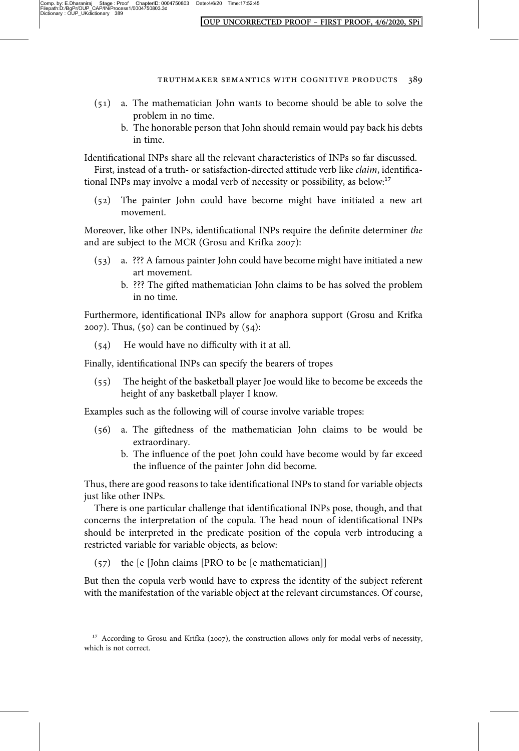TRUTHMAKER SEMANTICS WITH COGNITIVE PRODUCTS 389

- $(51)$  a. The mathematician John wants to become should be able to solve the problem in no time.
	- b. The honorable person that John should remain would pay back his debts in time.

Identificational INPs share all the relevant characteristics of INPs so far discussed.

First, instead of a truth- or satisfaction-directed attitude verb like claim, identificational INPs may involve a modal verb of necessity or possibility, as below:<sup>17</sup>

 $(52)$  The painter John could have become might have initiated a new art movement.

Moreover, like other INPs, identificational INPs require the definite determiner the and are subject to the MCR (Grosu and Krifka 2007):

- $(53)$  a. ??? A famous painter John could have become might have initiated a new art movement.
	- b. ??? The gifted mathematician John claims to be has solved the problem in no time.

Furthermore, identificational INPs allow for anaphora support (Grosu and Krifka  $(2007)$ . Thus,  $(50)$  can be continued by  $(54)$ :

 $(54)$  He would have no difficulty with it at all.

Finally, identificational INPs can specify the bearers of tropes

(55) The height of the basketball player Joe would like to become be exceeds the height of any basketball player I know.

Examples such as the following will of course involve variable tropes:

- () a. The giftedness of the mathematician John claims to be would be extraordinary.
	- b. The influence of the poet John could have become would by far exceed the influence of the painter John did become.

Thus, there are good reasons to take identificational INPs to stand for variable objects just like other INPs.

There is one particular challenge that identificational INPs pose, though, and that concerns the interpretation of the copula. The head noun of identificational INPs should be interpreted in the predicate position of the copula verb introducing a restricted variable for variable objects, as below:

 $(57)$  the [e [John claims [PRO to be [e mathematician]]

But then the copula verb would have to express the identity of the subject referent with the manifestation of the variable object at the relevant circumstances. Of course,

<sup>&</sup>lt;sup>17</sup> According to Grosu and Krifka (2007), the construction allows only for modal verbs of necessity, which is not correct.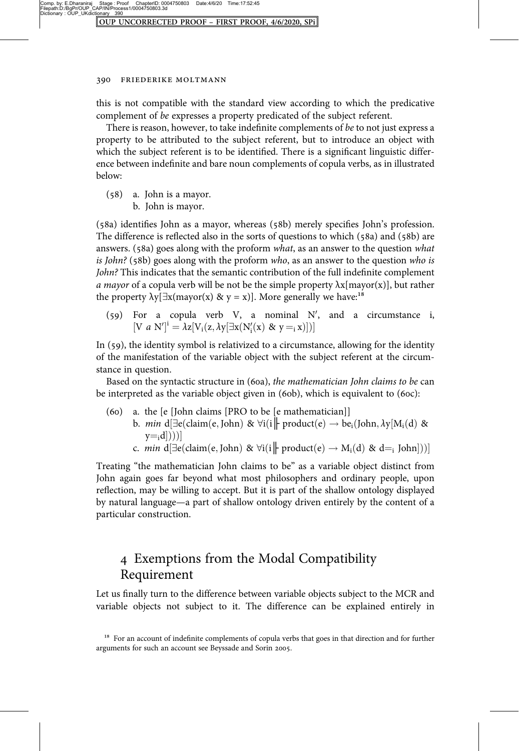this is not compatible with the standard view according to which the predicative complement of be expresses a property predicated of the subject referent.

There is reason, however, to take indefinite complements of be to not just express a property to be attributed to the subject referent, but to introduce an object with which the subject referent is to be identified. There is a significant linguistic difference between indefinite and bare noun complements of copula verbs, as in illustrated below:

- $(58)$  a. John is a mayor.
	- b. John is mayor.

 $(58a)$  identifies John as a mayor, whereas  $(58b)$  merely specifies John's profession. The difference is reflected also in the sorts of questions to which  $(58a)$  and  $(58b)$  are answers. ( $58a$ ) goes along with the proform *what*, as an answer to the question *what* is John? (58b) goes along with the proform  $who$ , as an answer to the question who is John? This indicates that the semantic contribution of the full indefinite complement a mayor of a copula verb will be not be the simple property  $\lambda x$ [mayor(x)], but rather the property  $\lambda y$ [ $\exists x$ (mayor(x) & y = x)]. More generally we have:<sup>18</sup>

 $(59)$  For a copula verb V, a nominal N', and a circumstance i,  $[V a N']$  $\mathbf{z}^i = \lambda \mathbf{z} [V_i(\mathbf{z}, \lambda \mathbf{y}[\exists \mathbf{x} (\mathbf{N}'_i(\mathbf{x}) \& \mathbf{y} =_i \mathbf{x})])]$ 

In  $(59)$ , the identity symbol is relativized to a circumstance, allowing for the identity of the manifestation of the variable object with the subject referent at the circumstance in question.

Based on the syntactic structure in (60a), the mathematician John claims to be can be interpreted as the variable object given in  $(60b)$ , which is equivalent to  $(60c)$ :

(60) a. the [e [John claims [PRO to be [e mathematician]]

b. *min* d $\exists$ e $claim(e, John)$  &  $\forall i(i|\mathbf{r})$  product $(e) \rightarrow be_i(John, \lambda y[M_i(d)$  &  $y=i d$ [1]

c. min d $[\exists e$ (claim $(e, \text{John}) \& \forall i$ (i $\parallel$  product $(e) \rightarrow M_i(d) \& d = j \text{Ohn}$ ))]

Treating "the mathematician John claims to be" as a variable object distinct from John again goes far beyond what most philosophers and ordinary people, upon reflection, may be willing to accept. But it is part of the shallow ontology displayed by natural language—a part of shallow ontology driven entirely by the content of a particular construction.

# Exemptions from the Modal Compatibility Requirement

Let us finally turn to the difference between variable objects subject to the MCR and variable objects not subject to it. The difference can be explained entirely in

<sup>&</sup>lt;sup>18</sup> For an account of indefinite complements of copula verbs that goes in that direction and for further arguments for such an account see Beyssade and Sorin 2005.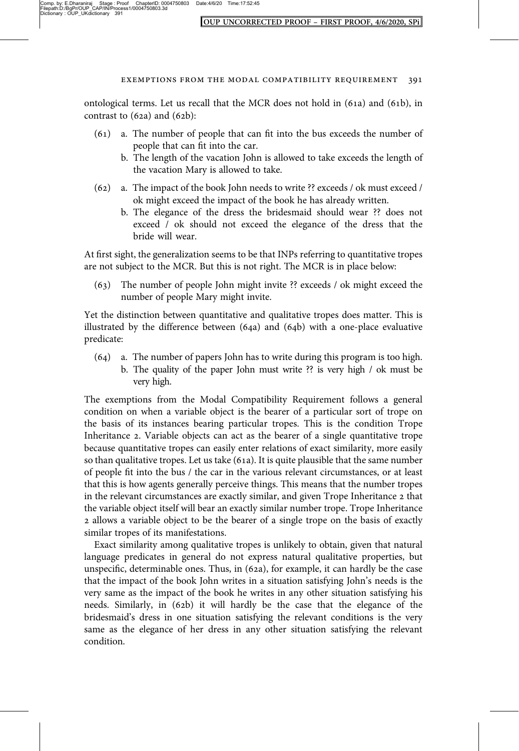EXEMPTIONS FROM THE MODAL COMPATIBILITY REQUIREMENT 391

ontological terms. Let us recall that the MCR does not hold in  $(61a)$  and  $(61b)$ , in contrast to  $(62a)$  and  $(62b)$ :

- $(61)$  a. The number of people that can fit into the bus exceeds the number of people that can fit into the car.
	- b. The length of the vacation John is allowed to take exceeds the length of the vacation Mary is allowed to take.
- (62) a. The impact of the book John needs to write ?? exceeds / ok must exceed / ok might exceed the impact of the book he has already written.
	- b. The elegance of the dress the bridesmaid should wear ?? does not exceed / ok should not exceed the elegance of the dress that the bride will wear.

At first sight, the generalization seems to be that INPs referring to quantitative tropes are not subject to the MCR. But this is not right. The MCR is in place below:

 $(63)$  The number of people John might invite ?? exceeds / ok might exceed the number of people Mary might invite.

Yet the distinction between quantitative and qualitative tropes does matter. This is illustrated by the difference between  $(64a)$  and  $(64b)$  with a one-place evaluative predicate:

 $(64)$  a. The number of papers John has to write during this program is too high. b. The quality of the paper John must write ?? is very high / ok must be very high.

The exemptions from the Modal Compatibility Requirement follows a general condition on when a variable object is the bearer of a particular sort of trope on the basis of its instances bearing particular tropes. This is the condition Trope Inheritance 2. Variable objects can act as the bearer of a single quantitative trope because quantitative tropes can easily enter relations of exact similarity, more easily so than qualitative tropes. Let us take  $(61a)$ . It is quite plausible that the same number of people fit into the bus / the car in the various relevant circumstances, or at least that this is how agents generally perceive things. This means that the number tropes in the relevant circumstances are exactly similar, and given Trope Inheritance 2 that the variable object itself will bear an exactly similar number trope. Trope Inheritance allows a variable object to be the bearer of a single trope on the basis of exactly similar tropes of its manifestations.

Exact similarity among qualitative tropes is unlikely to obtain, given that natural language predicates in general do not express natural qualitative properties, but unspecific, determinable ones. Thus, in  $(62a)$ , for example, it can hardly be the case that the impact of the book John writes in a situation satisfying John's needs is the very same as the impact of the book he writes in any other situation satisfying his needs. Similarly, in (62b) it will hardly be the case that the elegance of the bridesmaid's dress in one situation satisfying the relevant conditions is the very same as the elegance of her dress in any other situation satisfying the relevant condition.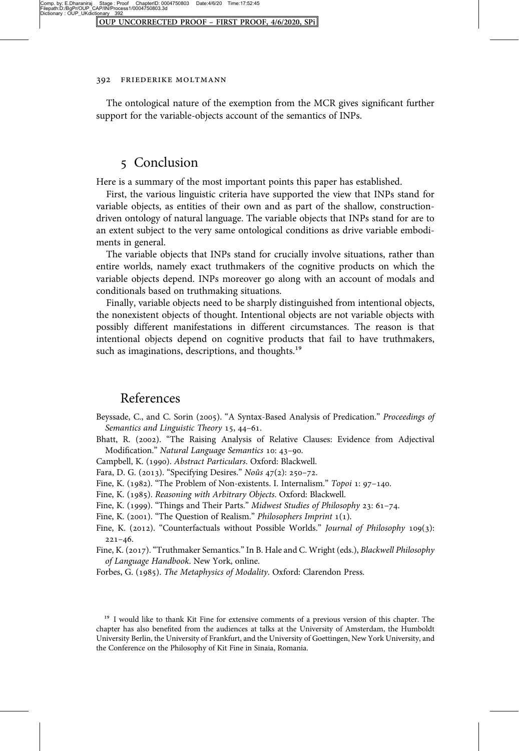The ontological nature of the exemption from the MCR gives significant further support for the variable-objects account of the semantics of INPs.

# Conclusion

Here is a summary of the most important points this paper has established.

First, the various linguistic criteria have supported the view that INPs stand for variable objects, as entities of their own and as part of the shallow, constructiondriven ontology of natural language. The variable objects that INPs stand for are to an extent subject to the very same ontological conditions as drive variable embodiments in general.

The variable objects that INPs stand for crucially involve situations, rather than entire worlds, namely exact truthmakers of the cognitive products on which the variable objects depend. INPs moreover go along with an account of modals and conditionals based on truthmaking situations.

Finally, variable objects need to be sharply distinguished from intentional objects, the nonexistent objects of thought. Intentional objects are not variable objects with possibly different manifestations in different circumstances. The reason is that intentional objects depend on cognitive products that fail to have truthmakers, such as imaginations, descriptions, and thoughts.<sup>19</sup>

### References

Beyssade, C., and C. Sorin (2005). "A Syntax-Based Analysis of Predication." Proceedings of Semantics and Linguistic Theory 15, 44-61.

- Bhatt, R. (2002). "The Raising Analysis of Relative Clauses: Evidence from Adjectival Modification." Natural Language Semantics 10: 43-90.
- Campbell, K. (1990). Abstract Particulars. Oxford: Blackwell.
- Fara, D. G. (2013). "Specifying Desires." Noûs  $47(2)$ : 250-72.
- Fine, K. (1982). "The Problem of Non-existents. I. Internalism." Topoi 1: 97-140.
- Fine, K. (1985). Reasoning with Arbitrary Objects. Oxford: Blackwell.
- Fine, K. (1999). "Things and Their Parts." Midwest Studies of Philosophy 23: 61-74.
- Fine, K. (2001). "The Question of Realism." *Philosophers Imprint*  $1(1)$ .
- Fine, K. (2012). "Counterfactuals without Possible Worlds." Journal of Philosophy 109(3):  $221 - 46.$
- Fine, K. (2017). "Truthmaker Semantics." In B. Hale and C. Wright (eds.), Blackwell Philosophy of Language Handbook. New York, online.
- Forbes, G. (1985). The Metaphysics of Modality. Oxford: Clarendon Press.

<sup>19</sup> I would like to thank Kit Fine for extensive comments of a previous version of this chapter. The chapter has also benefited from the audiences at talks at the University of Amsterdam, the Humboldt University Berlin, the University of Frankfurt, and the University of Goettingen, New York University, and the Conference on the Philosophy of Kit Fine in Sinaia, Romania.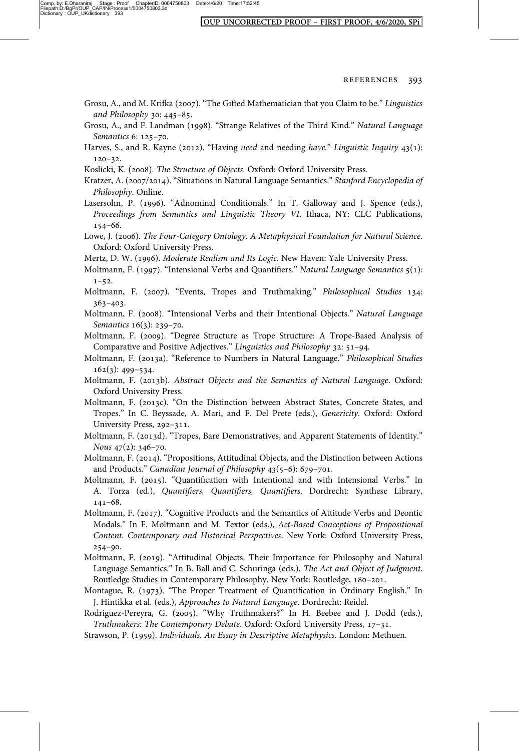REFERENCES 393

- Grosu, A., and M. Krifka (2007). "The Gifted Mathematician that you Claim to be." Linguistics and Philosophy 30:  $445-85$ .
- Grosu, A., and F. Landman (1998). "Strange Relatives of the Third Kind." Natural Language Semantics 6: 125-70.
- Harves, S., and R. Kayne (2012). "Having need and needing have." Linguistic Inquiry 43(1):  $120 - 32.$
- Koslicki, K. (2008). The Structure of Objects. Oxford: Oxford University Press.
- Kratzer, A. (2007/2014). "Situations in Natural Language Semantics." Stanford Encyclopedia of Philosophy. Online.
- Lasersohn, P. (1996). "Adnominal Conditionals." In T. Galloway and J. Spence (eds.), Proceedings from Semantics and Linguistic Theory VI. Ithaca, NY: CLC Publications,  $154 - 66.$
- Lowe, J. (2006). The Four-Category Ontology. A Metaphysical Foundation for Natural Science. Oxford: Oxford University Press.

Mertz, D. W. (1996). Moderate Realism and Its Logic. New Haven: Yale University Press.

Moltmann, F. (1997). "Intensional Verbs and Quantifiers." Natural Language Semantics  $5(1)$ :  $1 - 52.$ 

- Moltmann, F. (2007). "Events, Tropes and Truthmaking." Philosophical Studies 134:  $363 - 403$
- Moltmann, F. (2008). "Intensional Verbs and their Intentional Objects." Natural Language Semantics  $16(3)$ : 239-70.

Moltmann, F. (2009). "Degree Structure as Trope Structure: A Trope-Based Analysis of Comparative and Positive Adjectives." Linguistics and Philosophy 32: 51-94.

- Moltmann, F. (2013a). "Reference to Numbers in Natural Language." Philosophical Studies  $162(3): 499 - 534.$
- Moltmann, F. (2013b). Abstract Objects and the Semantics of Natural Language. Oxford: Oxford University Press.
- Moltmann, F. (2013c). "On the Distinction between Abstract States, Concrete States, and Tropes." In C. Beyssade, A. Mari, and F. Del Prete (eds.), Genericity. Oxford: Oxford University Press, 292-311.

Moltmann, F. (2013d). "Tropes, Bare Demonstratives, and Apparent Statements of Identity." Nous  $47(2)$ : 346-70.

- Moltmann, F. (2014). "Propositions, Attitudinal Objects, and the Distinction between Actions and Products." Canadian Journal of Philosophy  $43(5-6)$ : 679-701.
- Moltmann, F. (2015). "Quantification with Intentional and with Intensional Verbs." In A. Torza (ed.), Quantifiers, Quantifiers, Quantifiers. Dordrecht: Synthese Library,  $141 - 68.$
- Moltmann, F. (2017). "Cognitive Products and the Semantics of Attitude Verbs and Deontic Modals." In F. Moltmann and M. Textor (eds.), Act-Based Conceptions of Propositional Content. Contemporary and Historical Perspectives. New York: Oxford University Press, 254-90.
- Moltmann, F. (2019). "Attitudinal Objects. Their Importance for Philosophy and Natural Language Semantics." In B. Ball and C. Schuringa (eds.), The Act and Object of Judgment. Routledge Studies in Contemporary Philosophy. New York: Routledge, 180-201.
- Montague, R. (1973). "The Proper Treatment of Quantification in Ordinary English." In J. Hintikka et al. (eds.), Approaches to Natural Language. Dordrecht: Reidel.
- Rodriguez-Pereyra, G. (2005). "Why Truthmakers?" In H. Beebee and J. Dodd (eds.), Truthmakers: The Contemporary Debate. Oxford: Oxford University Press,  $17-31$ .

Strawson, P. (1959). Individuals. An Essay in Descriptive Metaphysics. London: Methuen.